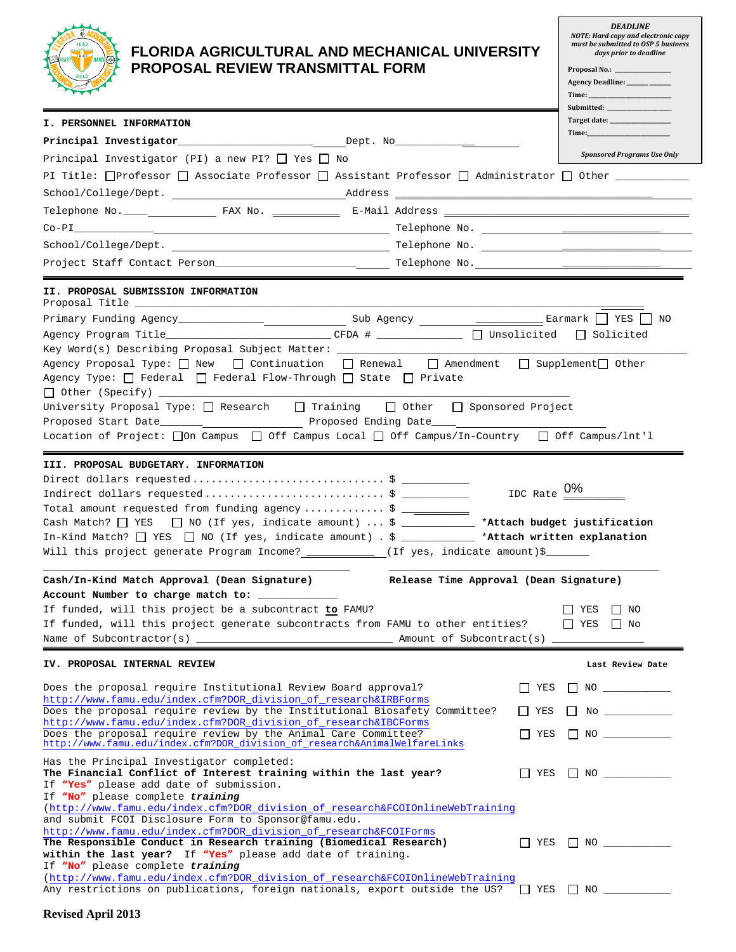

## **FLORIDA AGRICULTURAL AND MECHANICAL UNIVERSITY PROPOSAL REVIEW TRANSMITTAL FORM**

*DEADLINE NOTE: Hard copy and electronic copy must be submitted to OSP 5 business days prior to deadline*

Proposal No.: \_

|                                                                                                                                                                                                                                                                                                                                                                                      |            | Agency Deadline: ______ _____<br>Time:<br>Submitted: ______ |  |  |
|--------------------------------------------------------------------------------------------------------------------------------------------------------------------------------------------------------------------------------------------------------------------------------------------------------------------------------------------------------------------------------------|------------|-------------------------------------------------------------|--|--|
| <b>I. PERSONNEL INFORMATION</b>                                                                                                                                                                                                                                                                                                                                                      |            |                                                             |  |  |
|                                                                                                                                                                                                                                                                                                                                                                                      |            | Time:                                                       |  |  |
| Principal Investigator (PI) a new PI? $\Box$ Yes $\Box$ No                                                                                                                                                                                                                                                                                                                           |            | <b>Sponsored Programs Use Only</b>                          |  |  |
| PI Title: □Professor □ Associate Professor □ Assistant Professor □ Administrator □ Other _______                                                                                                                                                                                                                                                                                     |            |                                                             |  |  |
|                                                                                                                                                                                                                                                                                                                                                                                      |            |                                                             |  |  |
|                                                                                                                                                                                                                                                                                                                                                                                      |            |                                                             |  |  |
|                                                                                                                                                                                                                                                                                                                                                                                      |            |                                                             |  |  |
|                                                                                                                                                                                                                                                                                                                                                                                      |            |                                                             |  |  |
|                                                                                                                                                                                                                                                                                                                                                                                      |            |                                                             |  |  |
| II. PROPOSAL SUBMISSION INFORMATION                                                                                                                                                                                                                                                                                                                                                  |            |                                                             |  |  |
|                                                                                                                                                                                                                                                                                                                                                                                      |            |                                                             |  |  |
| Agency Program Title____________________________CFDA # _______________ $\Box$ Unsolicited $\Box$ Solicited                                                                                                                                                                                                                                                                           |            |                                                             |  |  |
| Agency Proposal Type: $\Box$ New $\Box$ Continuation $\Box$ Renewal $\Box$ Amendment $\Box$ Supplement $\Box$ Other<br>Agency Type: $\Box$ Federal $\Box$ Federal Flow-Through $\Box$ State $\Box$ Private                                                                                                                                                                           |            |                                                             |  |  |
| University Proposal Type: $\Box$ Research $\Box$ Training<br>$\Box$ Other $\Box$ Sponsored Project                                                                                                                                                                                                                                                                                   |            |                                                             |  |  |
| Location of Project: [On Campus   Off Campus Local   Off Campus/In-Country   Off Campus/Int'l                                                                                                                                                                                                                                                                                        |            |                                                             |  |  |
| III. PROPOSAL BUDGETARY. INFORMATION                                                                                                                                                                                                                                                                                                                                                 |            |                                                             |  |  |
| Total amount requested from funding agency  \$ ___________<br>Cash Match? $\Box$ YES $\Box$ NO (If yes, indicate amount)  \$ _____________ *Attach budget justification<br>In-Kind Match? $\Box$ YES $\Box$ NO (If yes, indicate amount) . \$ ____________ *Attach written explanation<br>Will this project generate Program Income? ____________ (If yes, indicate amount)\$_______ |            | IDC Rate $0\%$                                              |  |  |
| Release Time Approval (Dean Signature)<br>Cash/In-Kind Match Approval (Dean Signature)                                                                                                                                                                                                                                                                                               |            |                                                             |  |  |
| Account Number to charge match to: _____________                                                                                                                                                                                                                                                                                                                                     |            |                                                             |  |  |
| If funded, will this project be a subcontract to FAMU?<br>If funded, will this project generate subcontracts from FAMU to other entities?                                                                                                                                                                                                                                            |            | $\Box$ YES<br>I NO<br>$\Box$ YES $\Box$ No                  |  |  |
|                                                                                                                                                                                                                                                                                                                                                                                      |            |                                                             |  |  |
| IV. PROPOSAL INTERNAL REVIEW                                                                                                                                                                                                                                                                                                                                                         |            | Last Review Date                                            |  |  |
|                                                                                                                                                                                                                                                                                                                                                                                      |            |                                                             |  |  |
| Does the proposal require Institutional Review Board approval?<br>http://www.famu.edu/index.cfm?DOR_division_of_research&IRBForms                                                                                                                                                                                                                                                    | YES        | $\blacksquare$ NO $\blacksquare$                            |  |  |
| Does the proposal require review by the Institutional Biosafety Committee?                                                                                                                                                                                                                                                                                                           | YES        | $\Box$ No $\Box$                                            |  |  |
| http://www.famu.edu/index.cfm?DOR_division_of_research&IBCForms<br>Does the proposal require review by the Animal Care Committee?                                                                                                                                                                                                                                                    | $\Box$ YES | $\Box$ NO _____________                                     |  |  |
| http://www.famu.edu/index.cfm?DOR_division_of_research&AnimalWelfareLinks                                                                                                                                                                                                                                                                                                            |            |                                                             |  |  |
| Has the Principal Investigator completed:<br>The Financial Conflict of Interest training within the last year?<br>If "Yes" please add date of submission.<br>If "No" please complete training                                                                                                                                                                                        | YES        | $\Box$ NO $\Box$                                            |  |  |
| (http://www.famu.edu/index.cfm?DOR_division_of_research&FCOIOnlineWebTraining                                                                                                                                                                                                                                                                                                        |            |                                                             |  |  |
| and submit FCOI Disclosure Form to Sponsor@famu.edu.<br>http://www.famu.edu/index.cfm?DOR_division_of_research&FCOIForms                                                                                                                                                                                                                                                             |            |                                                             |  |  |
| The Responsible Conduct in Research training (Biomedical Research)                                                                                                                                                                                                                                                                                                                   |            | $\Box$ YES $\Box$ NO ___________                            |  |  |
| within the last year? If "Yes" please add date of training.<br>If "No" please complete training                                                                                                                                                                                                                                                                                      |            |                                                             |  |  |
| (http://www.famu.edu/index.cfm?DOR_division_of_research&FCOIOnlineWebTraining                                                                                                                                                                                                                                                                                                        |            |                                                             |  |  |
| Any restrictions on publications, foreign nationals, export outside the US? $\Box$ YES $\Box$ NO _______                                                                                                                                                                                                                                                                             |            |                                                             |  |  |
| $D_{\text{total}} = 1.4 \pm 0.13$                                                                                                                                                                                                                                                                                                                                                    |            |                                                             |  |  |